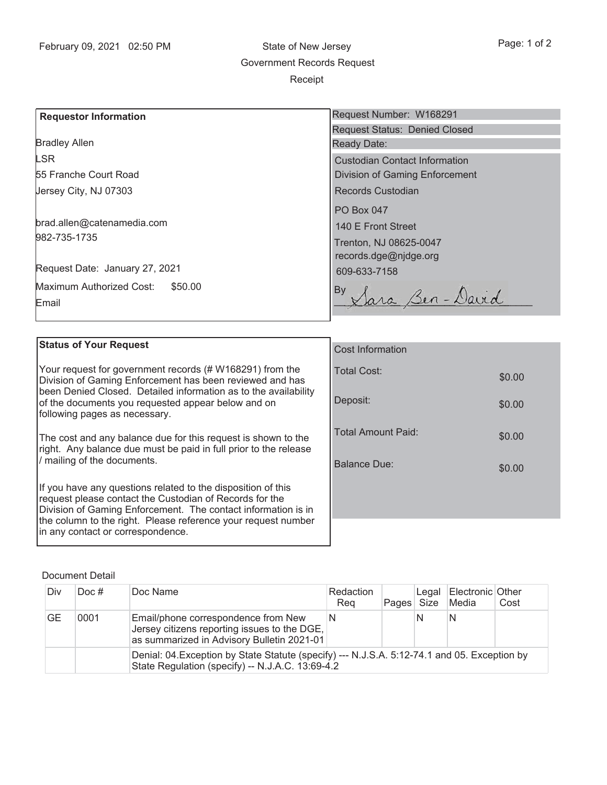\$0.00

\$0.00

\$0.00

\$0.00

## Bradley Allen LSR **Requestor Information** 55 Franche Court Road Jersey City, NJ 07303 982-735-1735 brad.allen@catenamedia.com Request Date: January 27, 2021 Maximum Authorized Cost: \$50.00 Email Request Number: W168291 Request Status: Denied Closed Ready Date: Custodian Contact Information Division of Gaming Enforcement Records Custodian PO Box 047 140 E Front Street Trenton, NJ 08625-0047 records.dge@njdge.org 609-633-7158 By By Sara Ben-David

| <b>Status of Your Request</b>                                                                                                                          |                           |  |  |  |
|--------------------------------------------------------------------------------------------------------------------------------------------------------|---------------------------|--|--|--|
|                                                                                                                                                        | <b>Cost Information</b>   |  |  |  |
| Your request for government records (# W168291) from the<br>Division of Gaming Enforcement has been reviewed and has                                   | Total Cost:               |  |  |  |
| been Denied Closed. Detailed information as to the availability<br>of the documents you requested appear below and on<br>following pages as necessary. | Deposit:                  |  |  |  |
| The cost and any balance due for this request is shown to the<br>right. Any balance due must be paid in full prior to the release                      | <b>Total Amount Paid:</b> |  |  |  |
| / mailing of the documents.                                                                                                                            | Balance Due:              |  |  |  |
| If you have any questions related to the disposition of this                                                                                           |                           |  |  |  |
| request please contact the Custodian of Records for the<br>Division of Gaming Enforcement. The contact information is in                               |                           |  |  |  |
| the column to the right. Please reference your request number                                                                                          |                           |  |  |  |
| in any contact or correspondence.                                                                                                                      |                           |  |  |  |

## Document Detail

| Div | $Doc$ # | Doc Name                                                                                                                                         | Redaction<br>Rea | Pages Size | Legal | Electronic Other<br>Media | Cost |  |  |
|-----|---------|--------------------------------------------------------------------------------------------------------------------------------------------------|------------------|------------|-------|---------------------------|------|--|--|
| GE  | 0001    | Email/phone correspondence from New<br>Jersey citizens reporting issues to the DGE,<br>as summarized in Advisory Bulletin 2021-01                | N                |            |       | N                         |      |  |  |
|     |         | Denial: 04. Exception by State Statute (specify) --- N.J.S.A. 5:12-74.1 and 05. Exception by<br>State Regulation (specify) -- N.J.A.C. 13:69-4.2 |                  |            |       |                           |      |  |  |